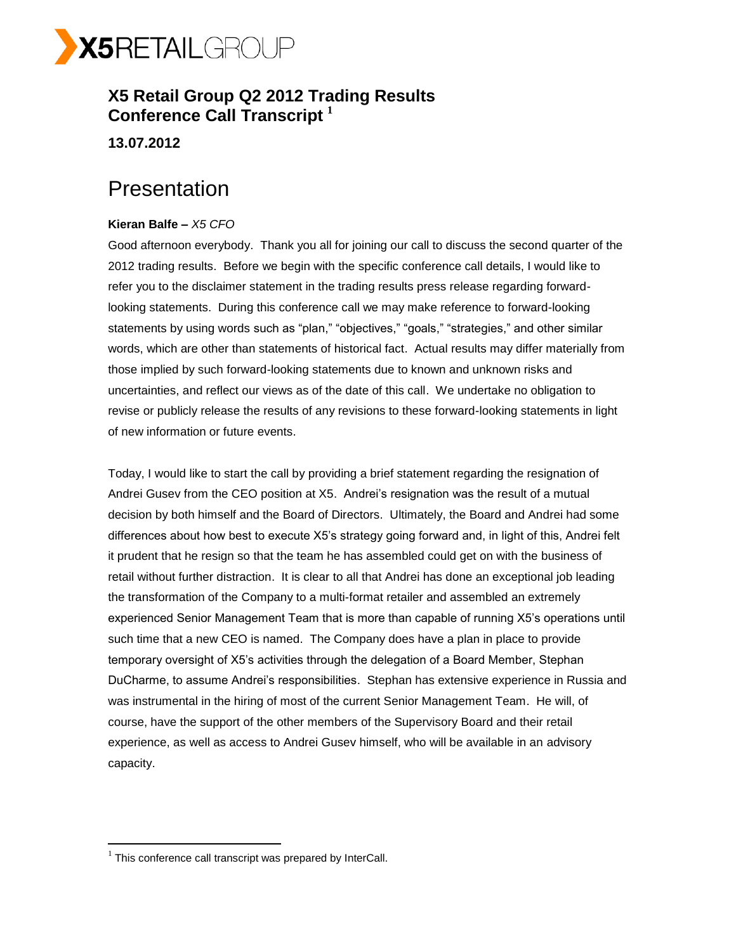

## **X5 Retail Group Q2 2012 Trading Results Conference Call Transcript <sup>1</sup>**

**13.07.2012**

## Presentation

## **Kieran Balfe –** *X5 CFO*

Good afternoon everybody. Thank you all for joining our call to discuss the second quarter of the 2012 trading results. Before we begin with the specific conference call details, I would like to refer you to the disclaimer statement in the trading results press release regarding forwardlooking statements. During this conference call we may make reference to forward-looking statements by using words such as "plan," "objectives," "goals," "strategies," and other similar words, which are other than statements of historical fact. Actual results may differ materially from those implied by such forward-looking statements due to known and unknown risks and uncertainties, and reflect our views as of the date of this call. We undertake no obligation to revise or publicly release the results of any revisions to these forward-looking statements in light of new information or future events.

Today, I would like to start the call by providing a brief statement regarding the resignation of Andrei Gusev from the CEO position at X5. Andrei's resignation was the result of a mutual decision by both himself and the Board of Directors. Ultimately, the Board and Andrei had some differences about how best to execute X5's strategy going forward and, in light of this, Andrei felt it prudent that he resign so that the team he has assembled could get on with the business of retail without further distraction. It is clear to all that Andrei has done an exceptional job leading the transformation of the Company to a multi-format retailer and assembled an extremely experienced Senior Management Team that is more than capable of running X5's operations until such time that a new CEO is named. The Company does have a plan in place to provide temporary oversight of X5's activities through the delegation of a Board Member, Stephan DuCharme, to assume Andrei's responsibilities. Stephan has extensive experience in Russia and was instrumental in the hiring of most of the current Senior Management Team. He will, of course, have the support of the other members of the Supervisory Board and their retail experience, as well as access to Andrei Gusev himself, who will be available in an advisory capacity.

 $\overline{a}$ 

 $1$  This conference call transcript was prepared by InterCall.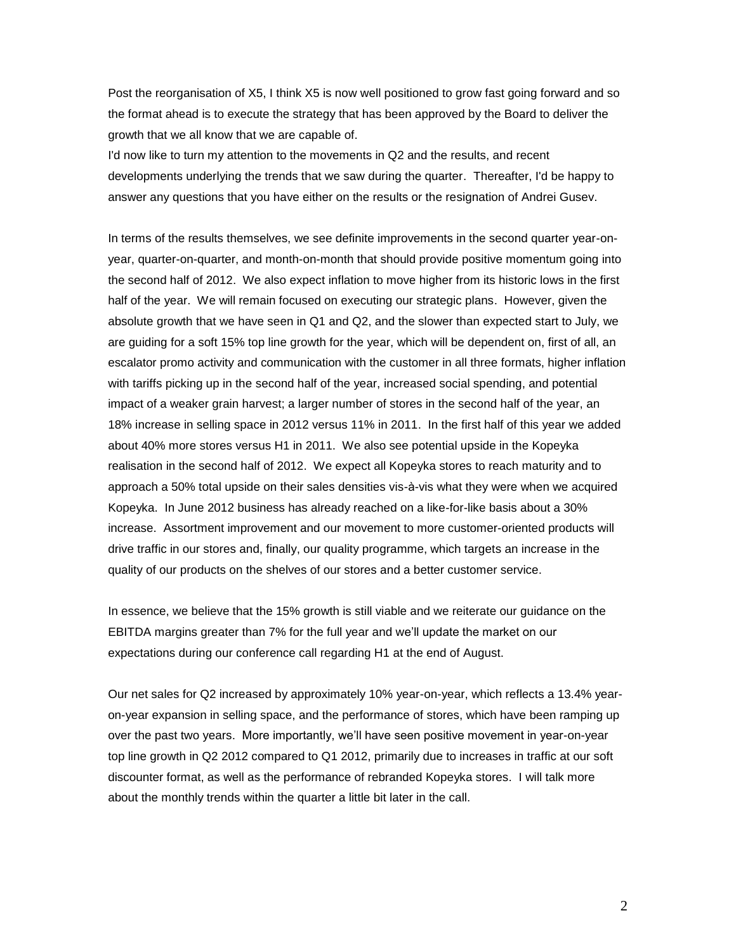Post the reorganisation of X5, I think X5 is now well positioned to grow fast going forward and so the format ahead is to execute the strategy that has been approved by the Board to deliver the growth that we all know that we are capable of.

I'd now like to turn my attention to the movements in Q2 and the results, and recent developments underlying the trends that we saw during the quarter. Thereafter, I'd be happy to answer any questions that you have either on the results or the resignation of Andrei Gusev.

In terms of the results themselves, we see definite improvements in the second quarter year-onyear, quarter-on-quarter, and month-on-month that should provide positive momentum going into the second half of 2012. We also expect inflation to move higher from its historic lows in the first half of the year. We will remain focused on executing our strategic plans. However, given the absolute growth that we have seen in Q1 and Q2, and the slower than expected start to July, we are guiding for a soft 15% top line growth for the year, which will be dependent on, first of all, an escalator promo activity and communication with the customer in all three formats, higher inflation with tariffs picking up in the second half of the year, increased social spending, and potential impact of a weaker grain harvest; a larger number of stores in the second half of the year, an 18% increase in selling space in 2012 versus 11% in 2011. In the first half of this year we added about 40% more stores versus H1 in 2011. We also see potential upside in the Kopeyka realisation in the second half of 2012. We expect all Kopeyka stores to reach maturity and to approach a 50% total upside on their sales densities vis-à-vis what they were when we acquired Kopeyka. In June 2012 business has already reached on a like-for-like basis about a 30% increase. Assortment improvement and our movement to more customer-oriented products will drive traffic in our stores and, finally, our quality programme, which targets an increase in the quality of our products on the shelves of our stores and a better customer service.

In essence, we believe that the 15% growth is still viable and we reiterate our guidance on the EBITDA margins greater than 7% for the full year and we'll update the market on our expectations during our conference call regarding H1 at the end of August.

Our net sales for Q2 increased by approximately 10% year-on-year, which reflects a 13.4% yearon-year expansion in selling space, and the performance of stores, which have been ramping up over the past two years. More importantly, we'll have seen positive movement in year-on-year top line growth in Q2 2012 compared to Q1 2012, primarily due to increases in traffic at our soft discounter format, as well as the performance of rebranded Kopeyka stores. I will talk more about the monthly trends within the quarter a little bit later in the call.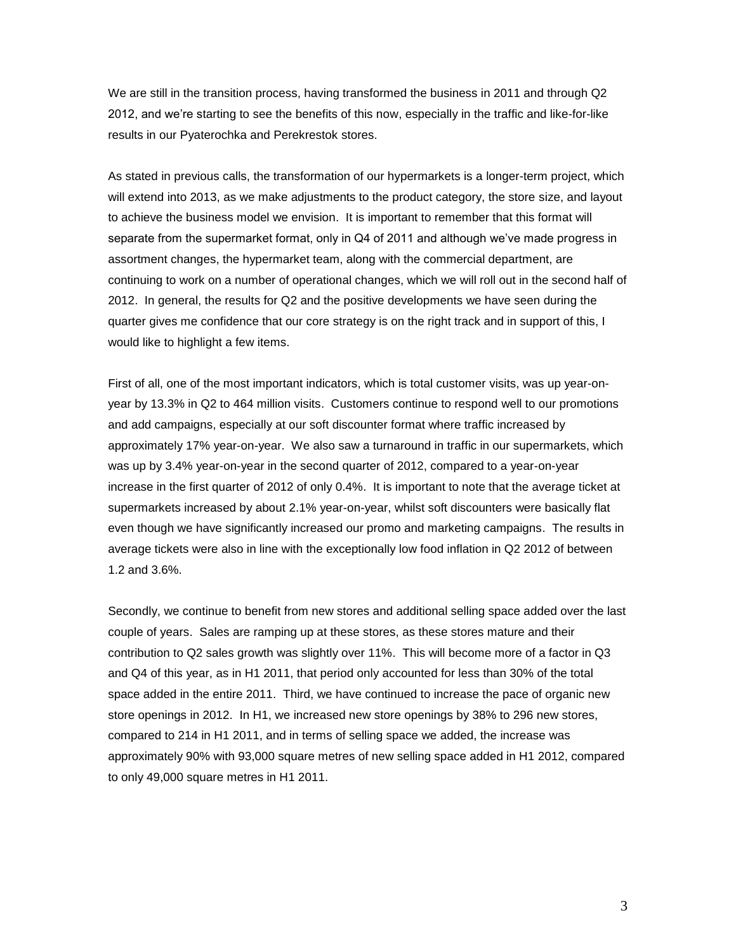We are still in the transition process, having transformed the business in 2011 and through Q2 2012, and we're starting to see the benefits of this now, especially in the traffic and like-for-like results in our Pyaterochka and Perekrestok stores.

As stated in previous calls, the transformation of our hypermarkets is a longer-term project, which will extend into 2013, as we make adjustments to the product category, the store size, and layout to achieve the business model we envision. It is important to remember that this format will separate from the supermarket format, only in Q4 of 2011 and although we've made progress in assortment changes, the hypermarket team, along with the commercial department, are continuing to work on a number of operational changes, which we will roll out in the second half of 2012. In general, the results for Q2 and the positive developments we have seen during the quarter gives me confidence that our core strategy is on the right track and in support of this, I would like to highlight a few items.

First of all, one of the most important indicators, which is total customer visits, was up year-onyear by 13.3% in Q2 to 464 million visits. Customers continue to respond well to our promotions and add campaigns, especially at our soft discounter format where traffic increased by approximately 17% year-on-year. We also saw a turnaround in traffic in our supermarkets, which was up by 3.4% year-on-year in the second quarter of 2012, compared to a year-on-year increase in the first quarter of 2012 of only 0.4%. It is important to note that the average ticket at supermarkets increased by about 2.1% year-on-year, whilst soft discounters were basically flat even though we have significantly increased our promo and marketing campaigns. The results in average tickets were also in line with the exceptionally low food inflation in Q2 2012 of between 1.2 and 3.6%.

Secondly, we continue to benefit from new stores and additional selling space added over the last couple of years. Sales are ramping up at these stores, as these stores mature and their contribution to Q2 sales growth was slightly over 11%. This will become more of a factor in Q3 and Q4 of this year, as in H1 2011, that period only accounted for less than 30% of the total space added in the entire 2011. Third, we have continued to increase the pace of organic new store openings in 2012. In H1, we increased new store openings by 38% to 296 new stores, compared to 214 in H1 2011, and in terms of selling space we added, the increase was approximately 90% with 93,000 square metres of new selling space added in H1 2012, compared to only 49,000 square metres in H1 2011.

3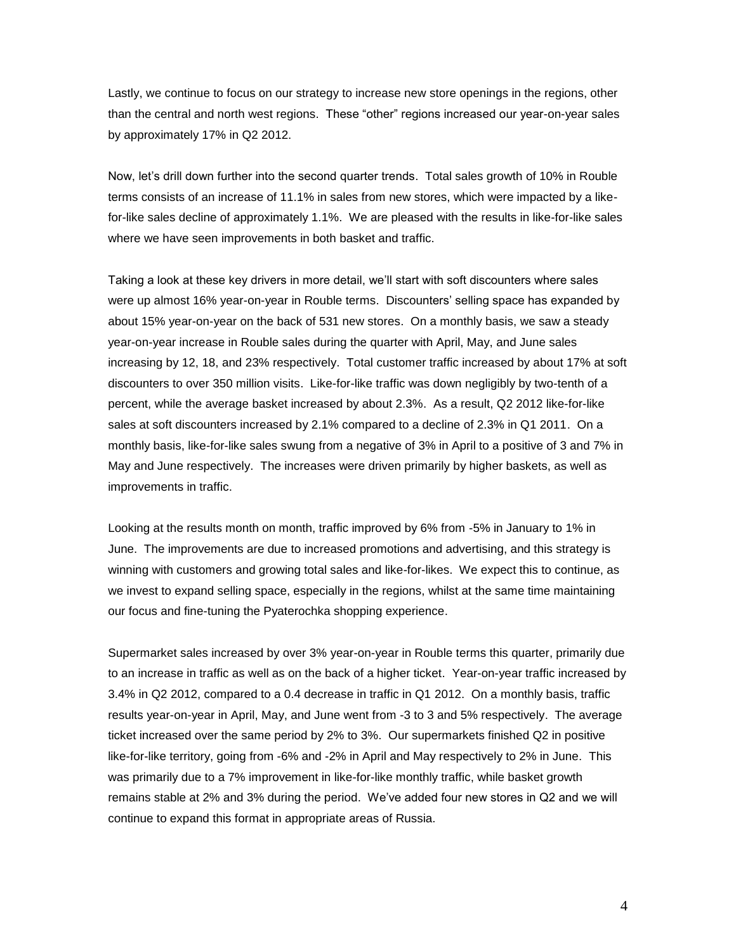Lastly, we continue to focus on our strategy to increase new store openings in the regions, other than the central and north west regions. These "other" regions increased our year-on-year sales by approximately 17% in Q2 2012.

Now, let's drill down further into the second quarter trends. Total sales growth of 10% in Rouble terms consists of an increase of 11.1% in sales from new stores, which were impacted by a likefor-like sales decline of approximately 1.1%. We are pleased with the results in like-for-like sales where we have seen improvements in both basket and traffic.

Taking a look at these key drivers in more detail, we'll start with soft discounters where sales were up almost 16% year-on-year in Rouble terms. Discounters' selling space has expanded by about 15% year-on-year on the back of 531 new stores. On a monthly basis, we saw a steady year-on-year increase in Rouble sales during the quarter with April, May, and June sales increasing by 12, 18, and 23% respectively. Total customer traffic increased by about 17% at soft discounters to over 350 million visits. Like-for-like traffic was down negligibly by two-tenth of a percent, while the average basket increased by about 2.3%. As a result, Q2 2012 like-for-like sales at soft discounters increased by 2.1% compared to a decline of 2.3% in Q1 2011. On a monthly basis, like-for-like sales swung from a negative of 3% in April to a positive of 3 and 7% in May and June respectively. The increases were driven primarily by higher baskets, as well as improvements in traffic.

Looking at the results month on month, traffic improved by 6% from -5% in January to 1% in June. The improvements are due to increased promotions and advertising, and this strategy is winning with customers and growing total sales and like-for-likes. We expect this to continue, as we invest to expand selling space, especially in the regions, whilst at the same time maintaining our focus and fine-tuning the Pyaterochka shopping experience.

Supermarket sales increased by over 3% year-on-year in Rouble terms this quarter, primarily due to an increase in traffic as well as on the back of a higher ticket. Year-on-year traffic increased by 3.4% in Q2 2012, compared to a 0.4 decrease in traffic in Q1 2012. On a monthly basis, traffic results year-on-year in April, May, and June went from -3 to 3 and 5% respectively. The average ticket increased over the same period by 2% to 3%. Our supermarkets finished Q2 in positive like-for-like territory, going from -6% and -2% in April and May respectively to 2% in June. This was primarily due to a 7% improvement in like-for-like monthly traffic, while basket growth remains stable at 2% and 3% during the period. We've added four new stores in Q2 and we will continue to expand this format in appropriate areas of Russia.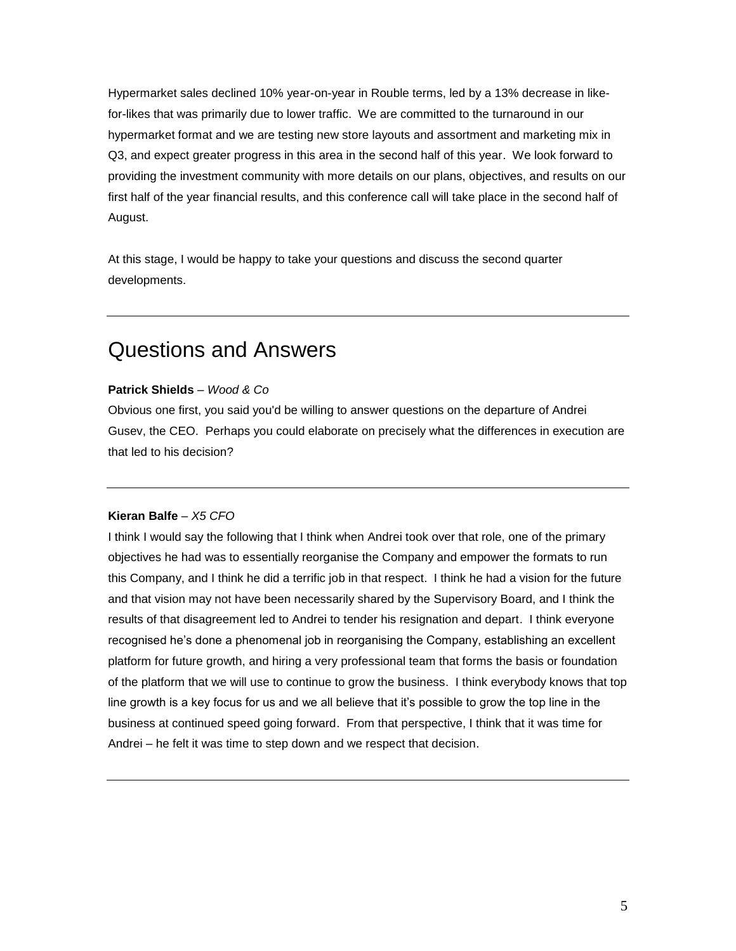Hypermarket sales declined 10% year-on-year in Rouble terms, led by a 13% decrease in likefor-likes that was primarily due to lower traffic. We are committed to the turnaround in our hypermarket format and we are testing new store layouts and assortment and marketing mix in Q3, and expect greater progress in this area in the second half of this year. We look forward to providing the investment community with more details on our plans, objectives, and results on our first half of the year financial results, and this conference call will take place in the second half of August.

At this stage, I would be happy to take your questions and discuss the second quarter developments.

## Questions and Answers

#### **Patrick Shields** *– Wood & Co*

Obvious one first, you said you'd be willing to answer questions on the departure of Andrei Gusev, the CEO. Perhaps you could elaborate on precisely what the differences in execution are that led to his decision?

#### **Kieran Balfe** *– X5 CFO*

I think I would say the following that I think when Andrei took over that role, one of the primary objectives he had was to essentially reorganise the Company and empower the formats to run this Company, and I think he did a terrific job in that respect. I think he had a vision for the future and that vision may not have been necessarily shared by the Supervisory Board, and I think the results of that disagreement led to Andrei to tender his resignation and depart. I think everyone recognised he's done a phenomenal job in reorganising the Company, establishing an excellent platform for future growth, and hiring a very professional team that forms the basis or foundation of the platform that we will use to continue to grow the business. I think everybody knows that top line growth is a key focus for us and we all believe that it's possible to grow the top line in the business at continued speed going forward. From that perspective, I think that it was time for Andrei – he felt it was time to step down and we respect that decision.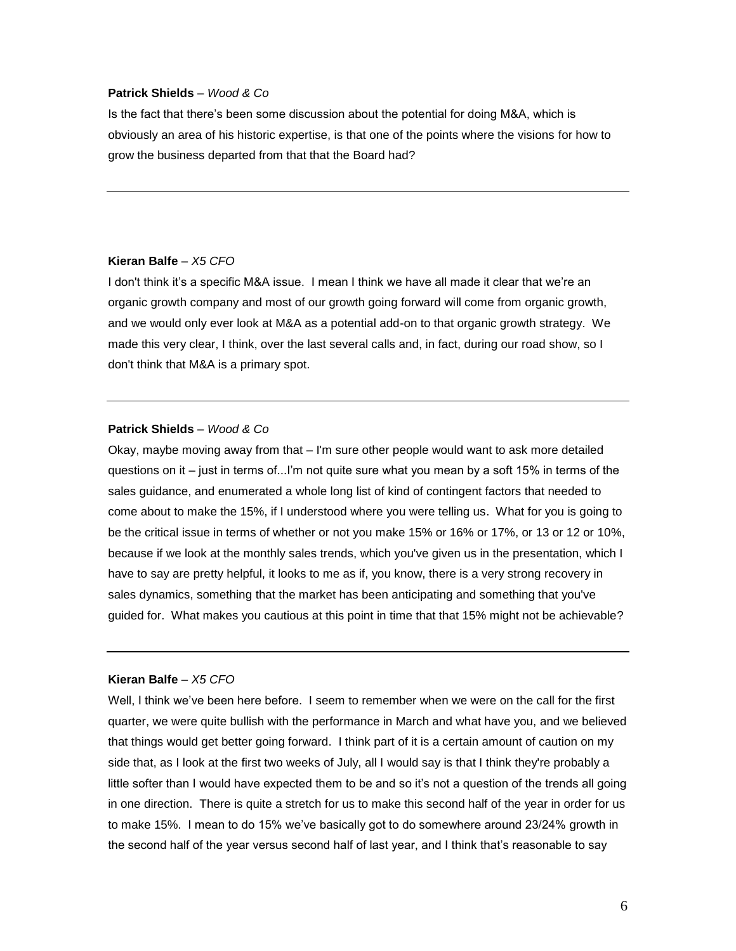#### **Patrick Shields** *– Wood & Co*

Is the fact that there's been some discussion about the potential for doing M&A, which is obviously an area of his historic expertise, is that one of the points where the visions for how to grow the business departed from that that the Board had?

#### **Kieran Balfe** *– X5 CFO*

I don't think it's a specific M&A issue. I mean I think we have all made it clear that we're an organic growth company and most of our growth going forward will come from organic growth, and we would only ever look at M&A as a potential add-on to that organic growth strategy. We made this very clear, I think, over the last several calls and, in fact, during our road show, so I don't think that M&A is a primary spot.

#### **Patrick Shields** *– Wood & Co*

Okay, maybe moving away from that – I'm sure other people would want to ask more detailed questions on it – just in terms of...I'm not quite sure what you mean by a soft 15% in terms of the sales guidance, and enumerated a whole long list of kind of contingent factors that needed to come about to make the 15%, if I understood where you were telling us. What for you is going to be the critical issue in terms of whether or not you make 15% or 16% or 17%, or 13 or 12 or 10%, because if we look at the monthly sales trends, which you've given us in the presentation, which I have to say are pretty helpful, it looks to me as if, you know, there is a very strong recovery in sales dynamics, something that the market has been anticipating and something that you've guided for. What makes you cautious at this point in time that that 15% might not be achievable?

#### **Kieran Balfe** *– X5 CFO*

Well, I think we've been here before. I seem to remember when we were on the call for the first quarter, we were quite bullish with the performance in March and what have you, and we believed that things would get better going forward. I think part of it is a certain amount of caution on my side that, as I look at the first two weeks of July, all I would say is that I think they're probably a little softer than I would have expected them to be and so it's not a question of the trends all going in one direction. There is quite a stretch for us to make this second half of the year in order for us to make 15%. I mean to do 15% we've basically got to do somewhere around 23/24% growth in the second half of the year versus second half of last year, and I think that's reasonable to say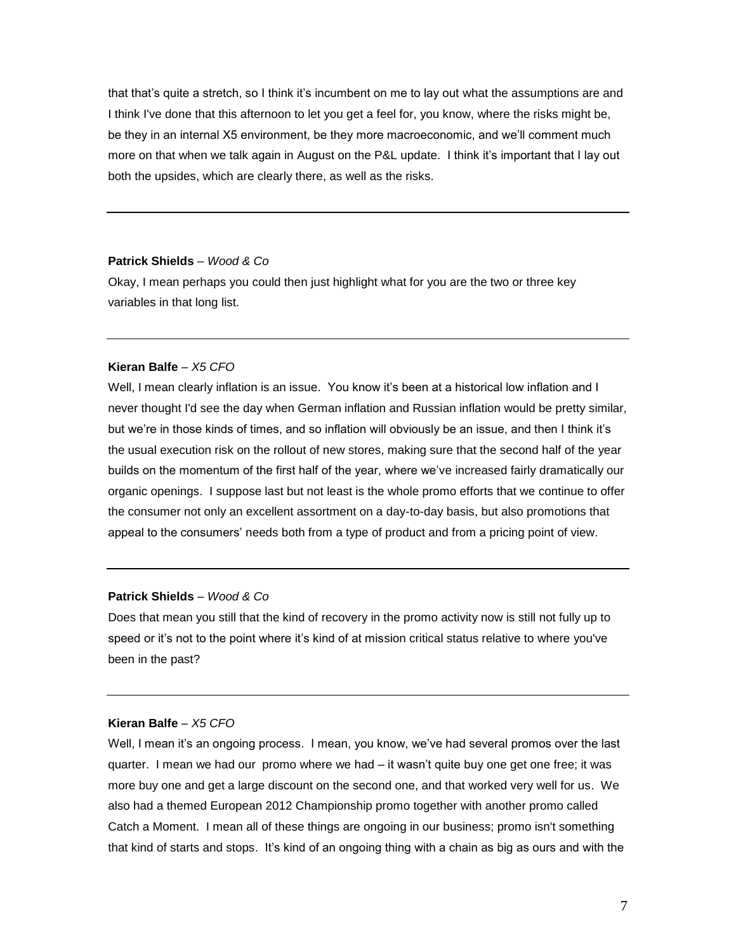that that's quite a stretch, so I think it's incumbent on me to lay out what the assumptions are and I think I've done that this afternoon to let you get a feel for, you know, where the risks might be, be they in an internal X5 environment, be they more macroeconomic, and we'll comment much more on that when we talk again in August on the P&L update. I think it's important that I lay out both the upsides, which are clearly there, as well as the risks.

#### **Patrick Shields** *– Wood & Co*

Okay, I mean perhaps you could then just highlight what for you are the two or three key variables in that long list.

#### **Kieran Balfe** *– X5 CFO*

Well, I mean clearly inflation is an issue. You know it's been at a historical low inflation and I never thought I'd see the day when German inflation and Russian inflation would be pretty similar, but we're in those kinds of times, and so inflation will obviously be an issue, and then I think it's the usual execution risk on the rollout of new stores, making sure that the second half of the year builds on the momentum of the first half of the year, where we've increased fairly dramatically our organic openings. I suppose last but not least is the whole promo efforts that we continue to offer the consumer not only an excellent assortment on a day-to-day basis, but also promotions that appeal to the consumers' needs both from a type of product and from a pricing point of view.

#### **Patrick Shields** *– Wood & Co*

Does that mean you still that the kind of recovery in the promo activity now is still not fully up to speed or it's not to the point where it's kind of at mission critical status relative to where you've been in the past?

#### **Kieran Balfe** *– X5 CFO*

Well, I mean it's an ongoing process. I mean, you know, we've had several promos over the last quarter. I mean we had our promo where we had – it wasn't quite buy one get one free; it was more buy one and get a large discount on the second one, and that worked very well for us. We also had a themed European 2012 Championship promo together with another promo called Catch a Moment. I mean all of these things are ongoing in our business; promo isn't something that kind of starts and stops. It's kind of an ongoing thing with a chain as big as ours and with the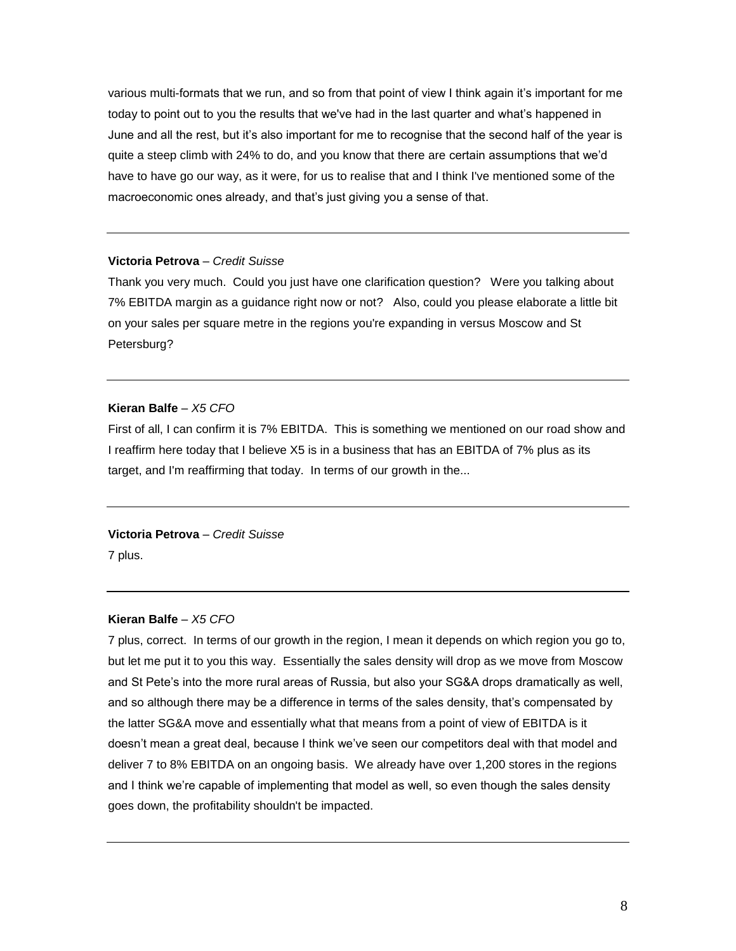various multi-formats that we run, and so from that point of view I think again it's important for me today to point out to you the results that we've had in the last quarter and what's happened in June and all the rest, but it's also important for me to recognise that the second half of the year is quite a steep climb with 24% to do, and you know that there are certain assumptions that we'd have to have go our way, as it were, for us to realise that and I think I've mentioned some of the macroeconomic ones already, and that's just giving you a sense of that.

#### **Victoria Petrova** *– Credit Suisse*

Thank you very much. Could you just have one clarification question? Were you talking about 7% EBITDA margin as a guidance right now or not? Also, could you please elaborate a little bit on your sales per square metre in the regions you're expanding in versus Moscow and St Petersburg?

#### **Kieran Balfe** *– X5 CFO*

First of all, I can confirm it is 7% EBITDA. This is something we mentioned on our road show and I reaffirm here today that I believe X5 is in a business that has an EBITDA of 7% plus as its target, and I'm reaffirming that today. In terms of our growth in the...

# **Victoria Petrova** *– Credit Suisse*

7 plus.

#### **Kieran Balfe** *– X5 CFO*

7 plus, correct. In terms of our growth in the region, I mean it depends on which region you go to, but let me put it to you this way. Essentially the sales density will drop as we move from Moscow and St Pete's into the more rural areas of Russia, but also your SG&A drops dramatically as well, and so although there may be a difference in terms of the sales density, that's compensated by the latter SG&A move and essentially what that means from a point of view of EBITDA is it doesn't mean a great deal, because I think we've seen our competitors deal with that model and deliver 7 to 8% EBITDA on an ongoing basis. We already have over 1,200 stores in the regions and I think we're capable of implementing that model as well, so even though the sales density goes down, the profitability shouldn't be impacted.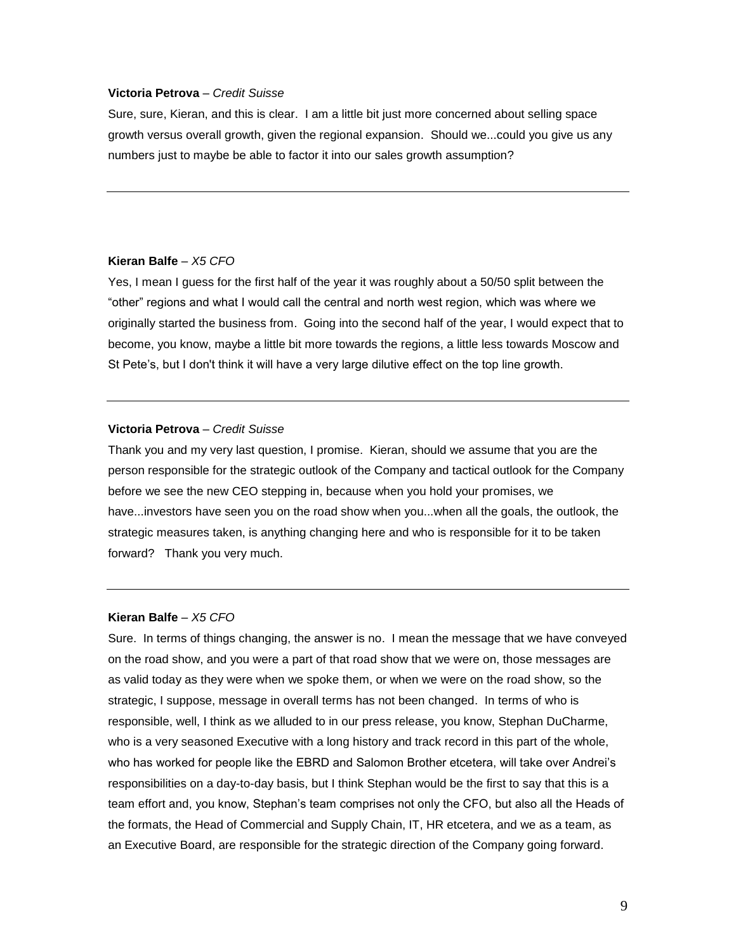#### **Victoria Petrova** *– Credit Suisse*

Sure, sure, Kieran, and this is clear. I am a little bit just more concerned about selling space growth versus overall growth, given the regional expansion. Should we...could you give us any numbers just to maybe be able to factor it into our sales growth assumption?

#### **Kieran Balfe** *– X5 CFO*

Yes, I mean I guess for the first half of the year it was roughly about a 50/50 split between the "other" regions and what I would call the central and north west region, which was where we originally started the business from. Going into the second half of the year, I would expect that to become, you know, maybe a little bit more towards the regions, a little less towards Moscow and St Pete's, but I don't think it will have a very large dilutive effect on the top line growth.

#### **Victoria Petrova** *– Credit Suisse*

Thank you and my very last question, I promise. Kieran, should we assume that you are the person responsible for the strategic outlook of the Company and tactical outlook for the Company before we see the new CEO stepping in, because when you hold your promises, we have...investors have seen you on the road show when you...when all the goals, the outlook, the strategic measures taken, is anything changing here and who is responsible for it to be taken forward? Thank you very much.

#### **Kieran Balfe** *– X5 CFO*

Sure. In terms of things changing, the answer is no. I mean the message that we have conveyed on the road show, and you were a part of that road show that we were on, those messages are as valid today as they were when we spoke them, or when we were on the road show, so the strategic, I suppose, message in overall terms has not been changed. In terms of who is responsible, well, I think as we alluded to in our press release, you know, Stephan DuCharme, who is a very seasoned Executive with a long history and track record in this part of the whole, who has worked for people like the EBRD and Salomon Brother etcetera, will take over Andrei's responsibilities on a day-to-day basis, but I think Stephan would be the first to say that this is a team effort and, you know, Stephan's team comprises not only the CFO, but also all the Heads of the formats, the Head of Commercial and Supply Chain, IT, HR etcetera, and we as a team, as an Executive Board, are responsible for the strategic direction of the Company going forward.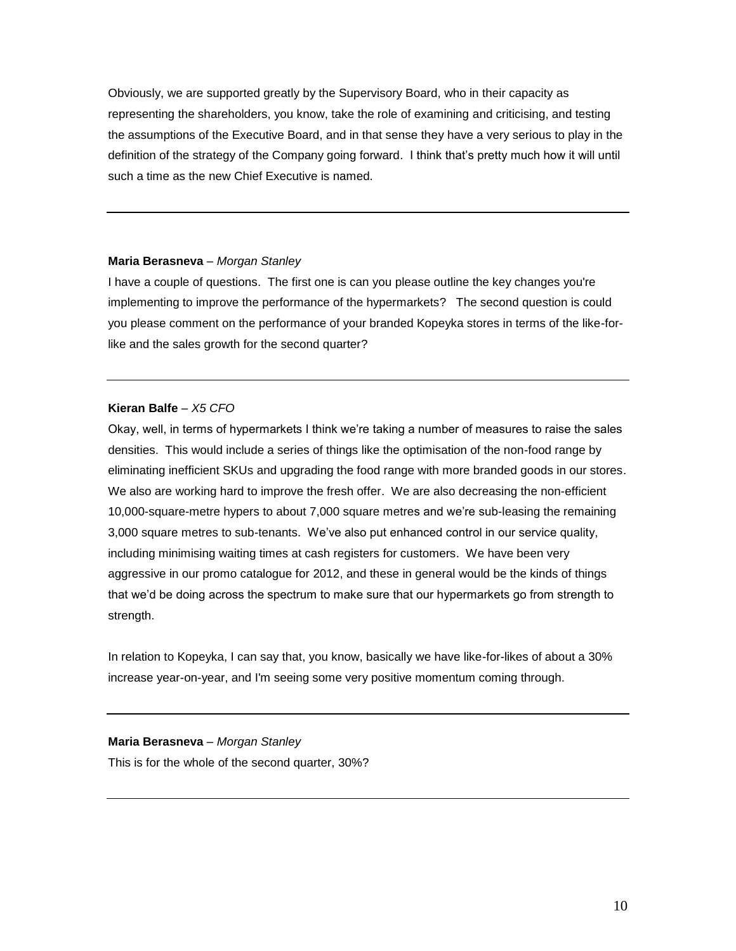Obviously, we are supported greatly by the Supervisory Board, who in their capacity as representing the shareholders, you know, take the role of examining and criticising, and testing the assumptions of the Executive Board, and in that sense they have a very serious to play in the definition of the strategy of the Company going forward. I think that's pretty much how it will until such a time as the new Chief Executive is named.

## **Maria Berasneva** *– Morgan Stanley*

I have a couple of questions. The first one is can you please outline the key changes you're implementing to improve the performance of the hypermarkets? The second question is could you please comment on the performance of your branded Kopeyka stores in terms of the like-forlike and the sales growth for the second quarter?

## **Kieran Balfe** *– X5 CFO*

Okay, well, in terms of hypermarkets I think we're taking a number of measures to raise the sales densities. This would include a series of things like the optimisation of the non-food range by eliminating inefficient SKUs and upgrading the food range with more branded goods in our stores. We also are working hard to improve the fresh offer. We are also decreasing the non-efficient 10,000-square-metre hypers to about 7,000 square metres and we're sub-leasing the remaining 3,000 square metres to sub-tenants. We've also put enhanced control in our service quality, including minimising waiting times at cash registers for customers. We have been very aggressive in our promo catalogue for 2012, and these in general would be the kinds of things that we'd be doing across the spectrum to make sure that our hypermarkets go from strength to strength.

In relation to Kopeyka, I can say that, you know, basically we have like-for-likes of about a 30% increase year-on-year, and I'm seeing some very positive momentum coming through.

## **Maria Berasneva** *– Morgan Stanley*

This is for the whole of the second quarter, 30%?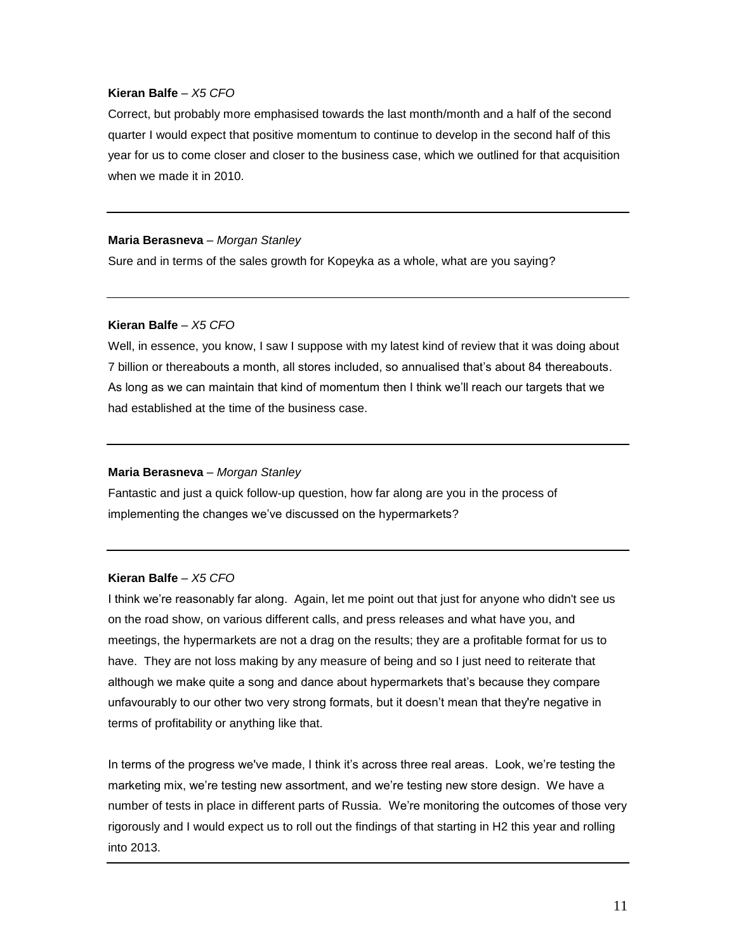Correct, but probably more emphasised towards the last month/month and a half of the second quarter I would expect that positive momentum to continue to develop in the second half of this year for us to come closer and closer to the business case, which we outlined for that acquisition when we made it in 2010.

#### **Maria Berasneva** *– Morgan Stanley*

Sure and in terms of the sales growth for Kopeyka as a whole, what are you saying?

#### **Kieran Balfe** *– X5 CFO*

Well, in essence, you know, I saw I suppose with my latest kind of review that it was doing about 7 billion or thereabouts a month, all stores included, so annualised that's about 84 thereabouts. As long as we can maintain that kind of momentum then I think we'll reach our targets that we had established at the time of the business case.

#### **Maria Berasneva** *– Morgan Stanley*

Fantastic and just a quick follow-up question, how far along are you in the process of implementing the changes we've discussed on the hypermarkets?

#### **Kieran Balfe** *– X5 CFO*

I think we're reasonably far along. Again, let me point out that just for anyone who didn't see us on the road show, on various different calls, and press releases and what have you, and meetings, the hypermarkets are not a drag on the results; they are a profitable format for us to have. They are not loss making by any measure of being and so I just need to reiterate that although we make quite a song and dance about hypermarkets that's because they compare unfavourably to our other two very strong formats, but it doesn't mean that they're negative in terms of profitability or anything like that.

In terms of the progress we've made, I think it's across three real areas. Look, we're testing the marketing mix, we're testing new assortment, and we're testing new store design. We have a number of tests in place in different parts of Russia. We're monitoring the outcomes of those very rigorously and I would expect us to roll out the findings of that starting in H2 this year and rolling into 2013.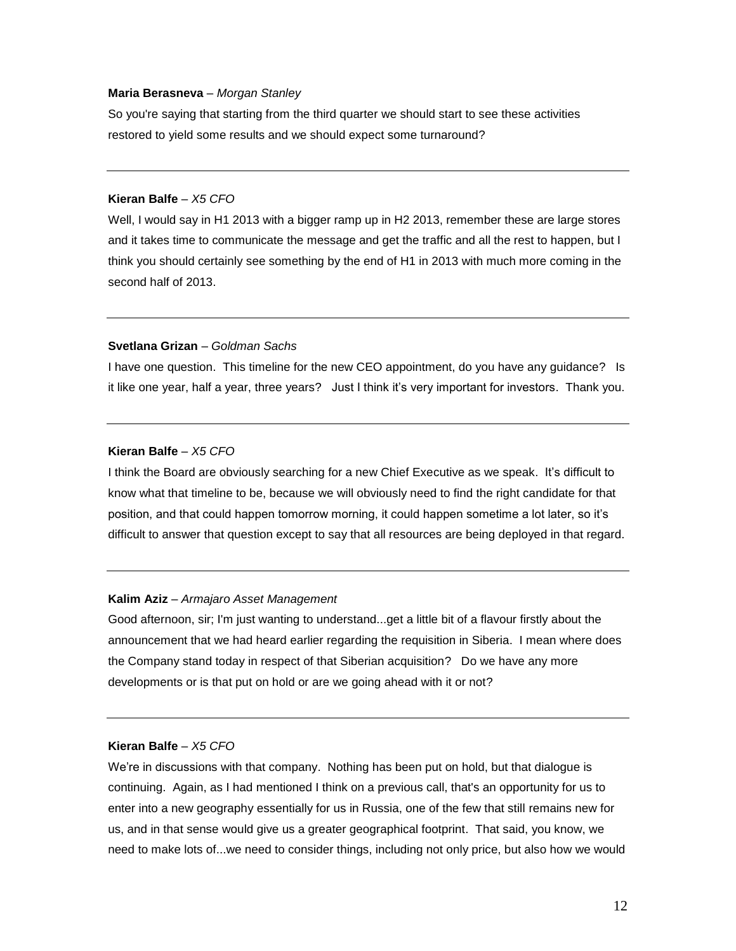#### **Maria Berasneva** *– Morgan Stanley*

So you're saying that starting from the third quarter we should start to see these activities restored to yield some results and we should expect some turnaround?

## **Kieran Balfe** *– X5 CFO*

Well, I would say in H1 2013 with a bigger ramp up in H2 2013, remember these are large stores and it takes time to communicate the message and get the traffic and all the rest to happen, but I think you should certainly see something by the end of H1 in 2013 with much more coming in the second half of 2013.

#### **Svetlana Grizan** *– Goldman Sachs*

I have one question. This timeline for the new CEO appointment, do you have any guidance? Is it like one year, half a year, three years? Just I think it's very important for investors. Thank you.

#### **Kieran Balfe** *– X5 CFO*

I think the Board are obviously searching for a new Chief Executive as we speak. It's difficult to know what that timeline to be, because we will obviously need to find the right candidate for that position, and that could happen tomorrow morning, it could happen sometime a lot later, so it's difficult to answer that question except to say that all resources are being deployed in that regard.

#### **Kalim Aziz** *– Armajaro Asset Management*

Good afternoon, sir; I'm just wanting to understand...get a little bit of a flavour firstly about the announcement that we had heard earlier regarding the requisition in Siberia. I mean where does the Company stand today in respect of that Siberian acquisition? Do we have any more developments or is that put on hold or are we going ahead with it or not?

## **Kieran Balfe** *– X5 CFO*

We're in discussions with that company. Nothing has been put on hold, but that dialogue is continuing. Again, as I had mentioned I think on a previous call, that's an opportunity for us to enter into a new geography essentially for us in Russia, one of the few that still remains new for us, and in that sense would give us a greater geographical footprint. That said, you know, we need to make lots of...we need to consider things, including not only price, but also how we would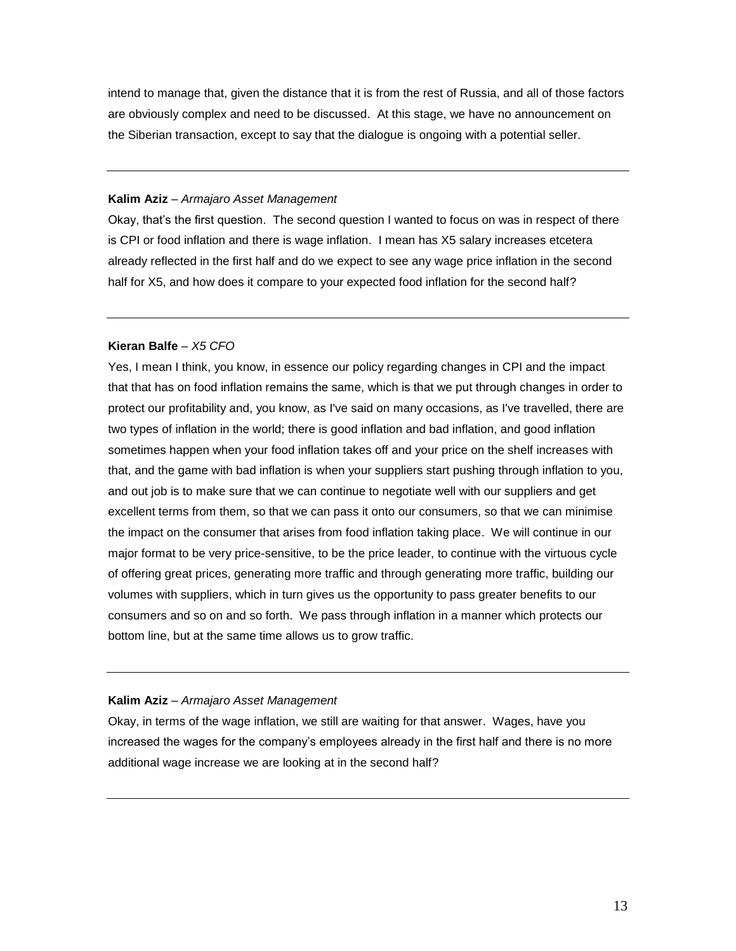intend to manage that, given the distance that it is from the rest of Russia, and all of those factors are obviously complex and need to be discussed. At this stage, we have no announcement on the Siberian transaction, except to say that the dialogue is ongoing with a potential seller.

#### **Kalim Aziz** *– Armajaro Asset Management*

Okay, that's the first question. The second question I wanted to focus on was in respect of there is CPI or food inflation and there is wage inflation. I mean has X5 salary increases etcetera already reflected in the first half and do we expect to see any wage price inflation in the second half for X5, and how does it compare to your expected food inflation for the second half?

#### **Kieran Balfe** *– X5 CFO*

Yes, I mean I think, you know, in essence our policy regarding changes in CPI and the impact that that has on food inflation remains the same, which is that we put through changes in order to protect our profitability and, you know, as I've said on many occasions, as I've travelled, there are two types of inflation in the world; there is good inflation and bad inflation, and good inflation sometimes happen when your food inflation takes off and your price on the shelf increases with that, and the game with bad inflation is when your suppliers start pushing through inflation to you, and out job is to make sure that we can continue to negotiate well with our suppliers and get excellent terms from them, so that we can pass it onto our consumers, so that we can minimise the impact on the consumer that arises from food inflation taking place. We will continue in our major format to be very price-sensitive, to be the price leader, to continue with the virtuous cycle of offering great prices, generating more traffic and through generating more traffic, building our volumes with suppliers, which in turn gives us the opportunity to pass greater benefits to our consumers and so on and so forth. We pass through inflation in a manner which protects our bottom line, but at the same time allows us to grow traffic.

#### **Kalim Aziz** *– Armajaro Asset Management*

Okay, in terms of the wage inflation, we still are waiting for that answer. Wages, have you increased the wages for the company's employees already in the first half and there is no more additional wage increase we are looking at in the second half?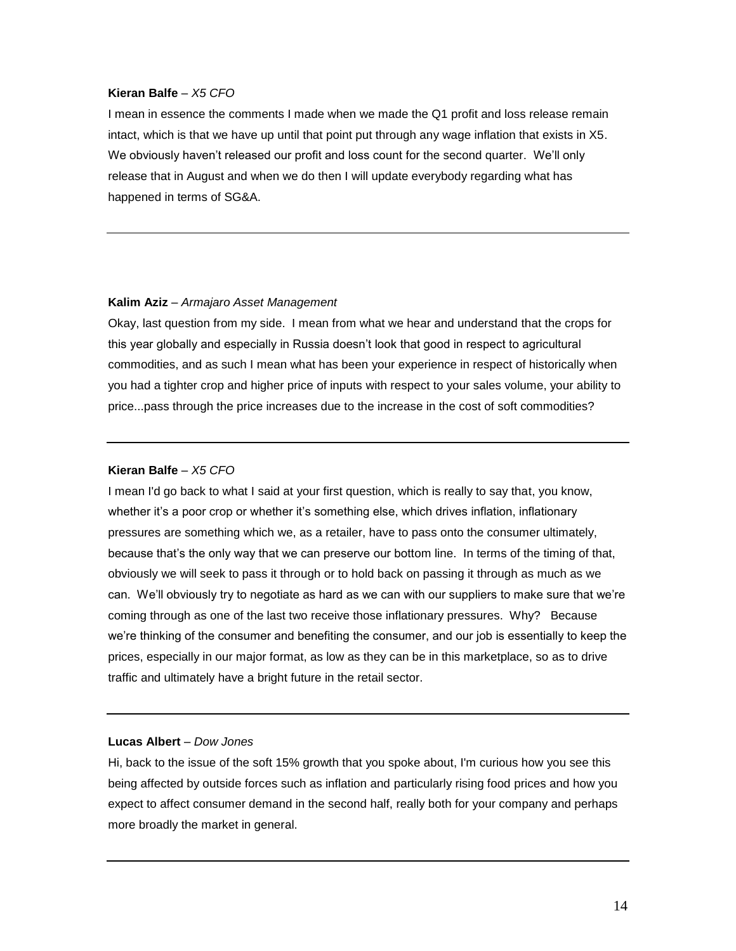I mean in essence the comments I made when we made the Q1 profit and loss release remain intact, which is that we have up until that point put through any wage inflation that exists in X5. We obviously haven't released our profit and loss count for the second quarter. We'll only release that in August and when we do then I will update everybody regarding what has happened in terms of SG&A.

#### **Kalim Aziz** *– Armajaro Asset Management*

Okay, last question from my side. I mean from what we hear and understand that the crops for this year globally and especially in Russia doesn't look that good in respect to agricultural commodities, and as such I mean what has been your experience in respect of historically when you had a tighter crop and higher price of inputs with respect to your sales volume, your ability to price...pass through the price increases due to the increase in the cost of soft commodities?

### **Kieran Balfe** *– X5 CFO*

I mean I'd go back to what I said at your first question, which is really to say that, you know, whether it's a poor crop or whether it's something else, which drives inflation, inflationary pressures are something which we, as a retailer, have to pass onto the consumer ultimately, because that's the only way that we can preserve our bottom line. In terms of the timing of that, obviously we will seek to pass it through or to hold back on passing it through as much as we can. We'll obviously try to negotiate as hard as we can with our suppliers to make sure that we're coming through as one of the last two receive those inflationary pressures. Why? Because we're thinking of the consumer and benefiting the consumer, and our job is essentially to keep the prices, especially in our major format, as low as they can be in this marketplace, so as to drive traffic and ultimately have a bright future in the retail sector.

## **Lucas Albert** *– Dow Jones*

Hi, back to the issue of the soft 15% growth that you spoke about, I'm curious how you see this being affected by outside forces such as inflation and particularly rising food prices and how you expect to affect consumer demand in the second half, really both for your company and perhaps more broadly the market in general.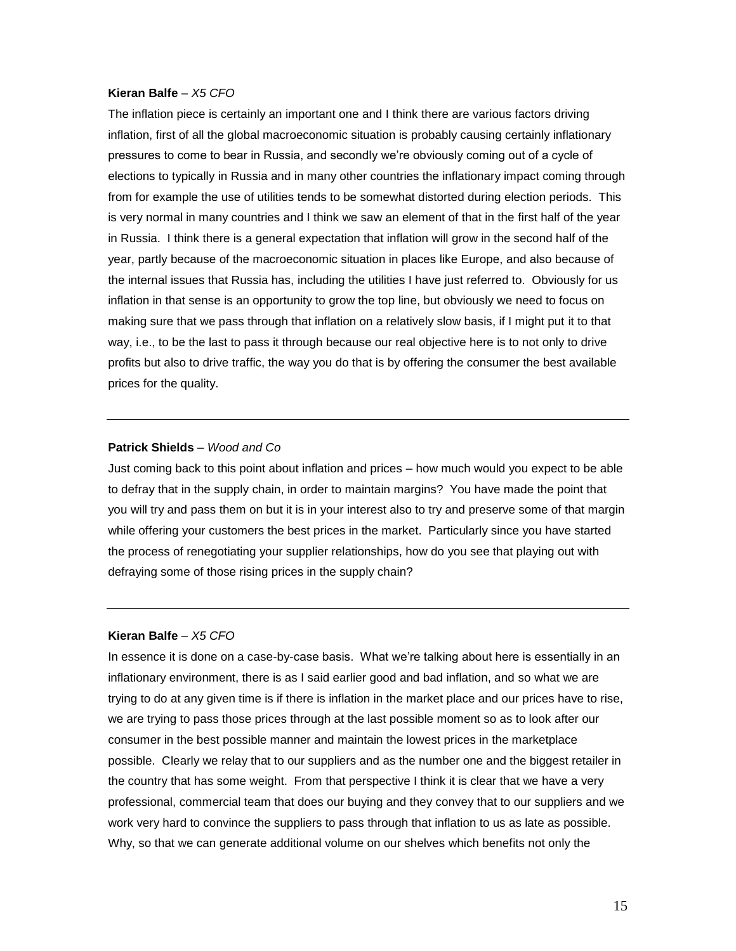The inflation piece is certainly an important one and I think there are various factors driving inflation, first of all the global macroeconomic situation is probably causing certainly inflationary pressures to come to bear in Russia, and secondly we're obviously coming out of a cycle of elections to typically in Russia and in many other countries the inflationary impact coming through from for example the use of utilities tends to be somewhat distorted during election periods. This is very normal in many countries and I think we saw an element of that in the first half of the year in Russia. I think there is a general expectation that inflation will grow in the second half of the year, partly because of the macroeconomic situation in places like Europe, and also because of the internal issues that Russia has, including the utilities I have just referred to. Obviously for us inflation in that sense is an opportunity to grow the top line, but obviously we need to focus on making sure that we pass through that inflation on a relatively slow basis, if I might put it to that way, i.e., to be the last to pass it through because our real objective here is to not only to drive profits but also to drive traffic, the way you do that is by offering the consumer the best available prices for the quality.

#### **Patrick Shields** – *Wood and Co*

Just coming back to this point about inflation and prices – how much would you expect to be able to defray that in the supply chain, in order to maintain margins? You have made the point that you will try and pass them on but it is in your interest also to try and preserve some of that margin while offering your customers the best prices in the market. Particularly since you have started the process of renegotiating your supplier relationships, how do you see that playing out with defraying some of those rising prices in the supply chain?

#### **Kieran Balfe** *– X5 CFO*

In essence it is done on a case-by-case basis. What we're talking about here is essentially in an inflationary environment, there is as I said earlier good and bad inflation, and so what we are trying to do at any given time is if there is inflation in the market place and our prices have to rise, we are trying to pass those prices through at the last possible moment so as to look after our consumer in the best possible manner and maintain the lowest prices in the marketplace possible. Clearly we relay that to our suppliers and as the number one and the biggest retailer in the country that has some weight. From that perspective I think it is clear that we have a very professional, commercial team that does our buying and they convey that to our suppliers and we work very hard to convince the suppliers to pass through that inflation to us as late as possible. Why, so that we can generate additional volume on our shelves which benefits not only the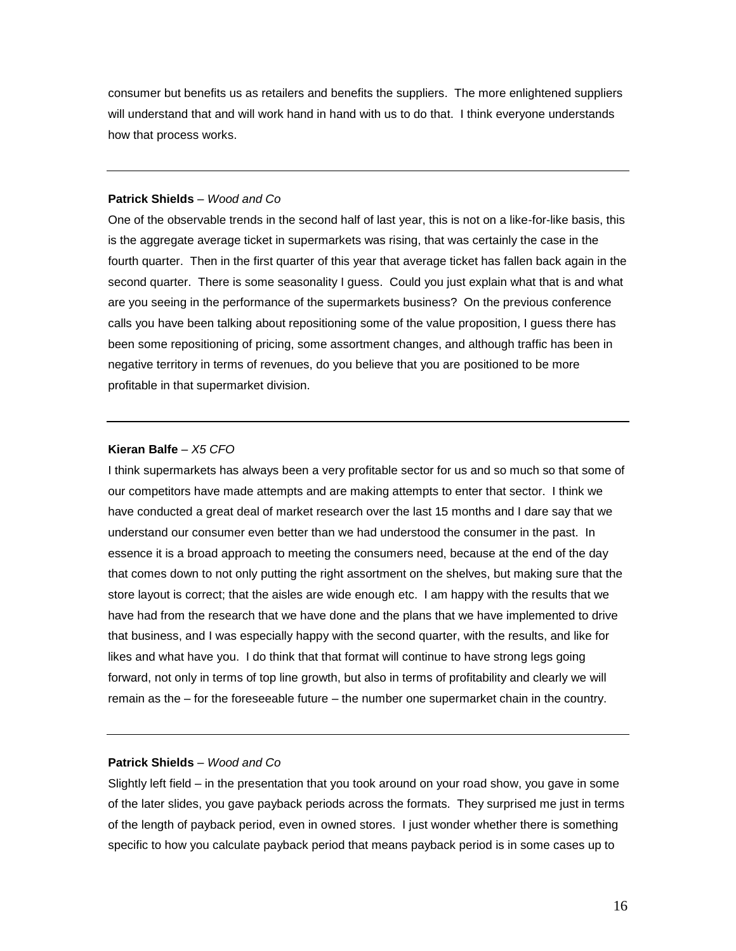consumer but benefits us as retailers and benefits the suppliers. The more enlightened suppliers will understand that and will work hand in hand with us to do that. I think everyone understands how that process works.

#### **Patrick Shields** – *Wood and Co*

One of the observable trends in the second half of last year, this is not on a like-for-like basis, this is the aggregate average ticket in supermarkets was rising, that was certainly the case in the fourth quarter. Then in the first quarter of this year that average ticket has fallen back again in the second quarter. There is some seasonality I guess. Could you just explain what that is and what are you seeing in the performance of the supermarkets business? On the previous conference calls you have been talking about repositioning some of the value proposition, I guess there has been some repositioning of pricing, some assortment changes, and although traffic has been in negative territory in terms of revenues, do you believe that you are positioned to be more profitable in that supermarket division.

#### **Kieran Balfe** *– X5 CFO*

I think supermarkets has always been a very profitable sector for us and so much so that some of our competitors have made attempts and are making attempts to enter that sector. I think we have conducted a great deal of market research over the last 15 months and I dare say that we understand our consumer even better than we had understood the consumer in the past. In essence it is a broad approach to meeting the consumers need, because at the end of the day that comes down to not only putting the right assortment on the shelves, but making sure that the store layout is correct; that the aisles are wide enough etc. I am happy with the results that we have had from the research that we have done and the plans that we have implemented to drive that business, and I was especially happy with the second quarter, with the results, and like for likes and what have you. I do think that that format will continue to have strong legs going forward, not only in terms of top line growth, but also in terms of profitability and clearly we will remain as the – for the foreseeable future – the number one supermarket chain in the country.

#### **Patrick Shields** – *Wood and Co*

Slightly left field – in the presentation that you took around on your road show, you gave in some of the later slides, you gave payback periods across the formats. They surprised me just in terms of the length of payback period, even in owned stores. I just wonder whether there is something specific to how you calculate payback period that means payback period is in some cases up to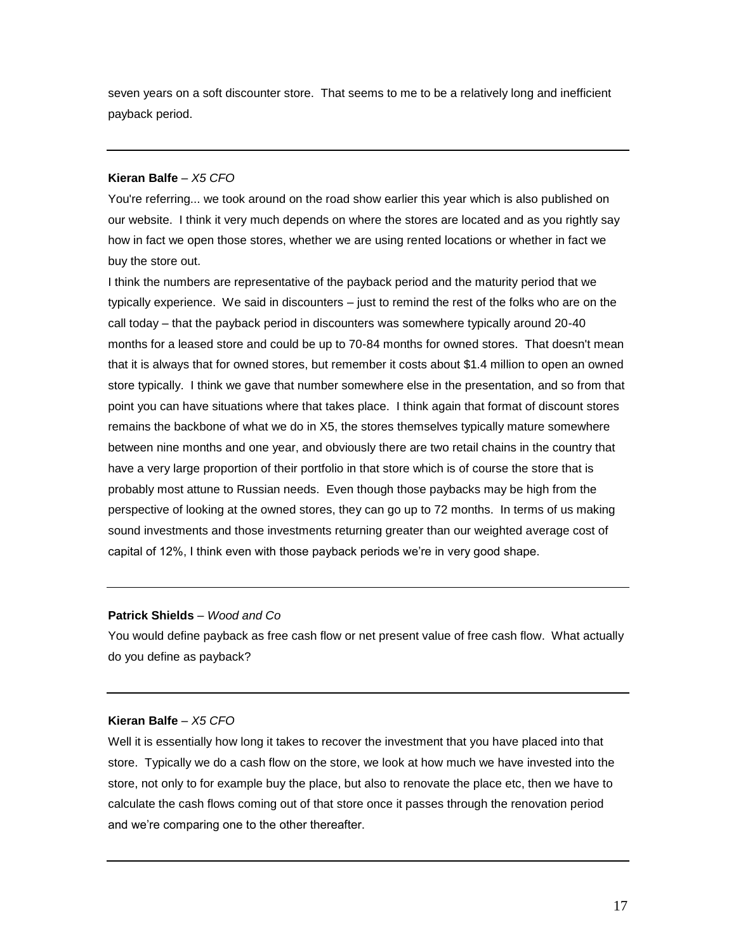seven years on a soft discounter store. That seems to me to be a relatively long and inefficient payback period.

## **Kieran Balfe** *– X5 CFO*

You're referring... we took around on the road show earlier this year which is also published on our website. I think it very much depends on where the stores are located and as you rightly say how in fact we open those stores, whether we are using rented locations or whether in fact we buy the store out.

I think the numbers are representative of the payback period and the maturity period that we typically experience. We said in discounters – just to remind the rest of the folks who are on the call today – that the payback period in discounters was somewhere typically around 20-40 months for a leased store and could be up to 70-84 months for owned stores. That doesn't mean that it is always that for owned stores, but remember it costs about \$1.4 million to open an owned store typically. I think we gave that number somewhere else in the presentation, and so from that point you can have situations where that takes place. I think again that format of discount stores remains the backbone of what we do in X5, the stores themselves typically mature somewhere between nine months and one year, and obviously there are two retail chains in the country that have a very large proportion of their portfolio in that store which is of course the store that is probably most attune to Russian needs. Even though those paybacks may be high from the perspective of looking at the owned stores, they can go up to 72 months. In terms of us making sound investments and those investments returning greater than our weighted average cost of capital of 12%, I think even with those payback periods we're in very good shape.

#### **Patrick Shields** – *Wood and Co*

You would define payback as free cash flow or net present value of free cash flow. What actually do you define as payback?

## **Kieran Balfe** *– X5 CFO*

Well it is essentially how long it takes to recover the investment that you have placed into that store. Typically we do a cash flow on the store, we look at how much we have invested into the store, not only to for example buy the place, but also to renovate the place etc, then we have to calculate the cash flows coming out of that store once it passes through the renovation period and we're comparing one to the other thereafter.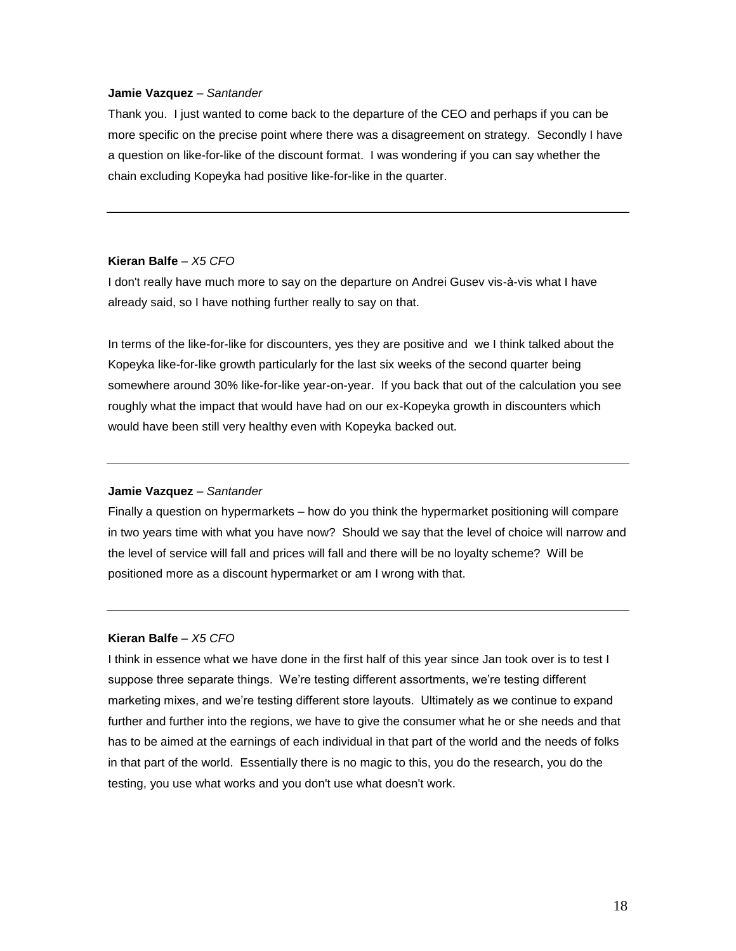#### **Jamie Vazquez** – *Santander*

Thank you. I just wanted to come back to the departure of the CEO and perhaps if you can be more specific on the precise point where there was a disagreement on strategy. Secondly I have a question on like-for-like of the discount format. I was wondering if you can say whether the chain excluding Kopeyka had positive like-for-like in the quarter.

## **Kieran Balfe** *– X5 CFO*

I don't really have much more to say on the departure on Andrei Gusev vis-à-vis what I have already said, so I have nothing further really to say on that.

In terms of the like-for-like for discounters, yes they are positive and we I think talked about the Kopeyka like-for-like growth particularly for the last six weeks of the second quarter being somewhere around 30% like-for-like year-on-year. If you back that out of the calculation you see roughly what the impact that would have had on our ex-Kopeyka growth in discounters which would have been still very healthy even with Kopeyka backed out.

#### **Jamie Vazquez** – *Santander*

Finally a question on hypermarkets – how do you think the hypermarket positioning will compare in two years time with what you have now? Should we say that the level of choice will narrow and the level of service will fall and prices will fall and there will be no loyalty scheme? Will be positioned more as a discount hypermarket or am I wrong with that.

## **Kieran Balfe** *– X5 CFO*

I think in essence what we have done in the first half of this year since Jan took over is to test I suppose three separate things. We're testing different assortments, we're testing different marketing mixes, and we're testing different store layouts. Ultimately as we continue to expand further and further into the regions, we have to give the consumer what he or she needs and that has to be aimed at the earnings of each individual in that part of the world and the needs of folks in that part of the world. Essentially there is no magic to this, you do the research, you do the testing, you use what works and you don't use what doesn't work.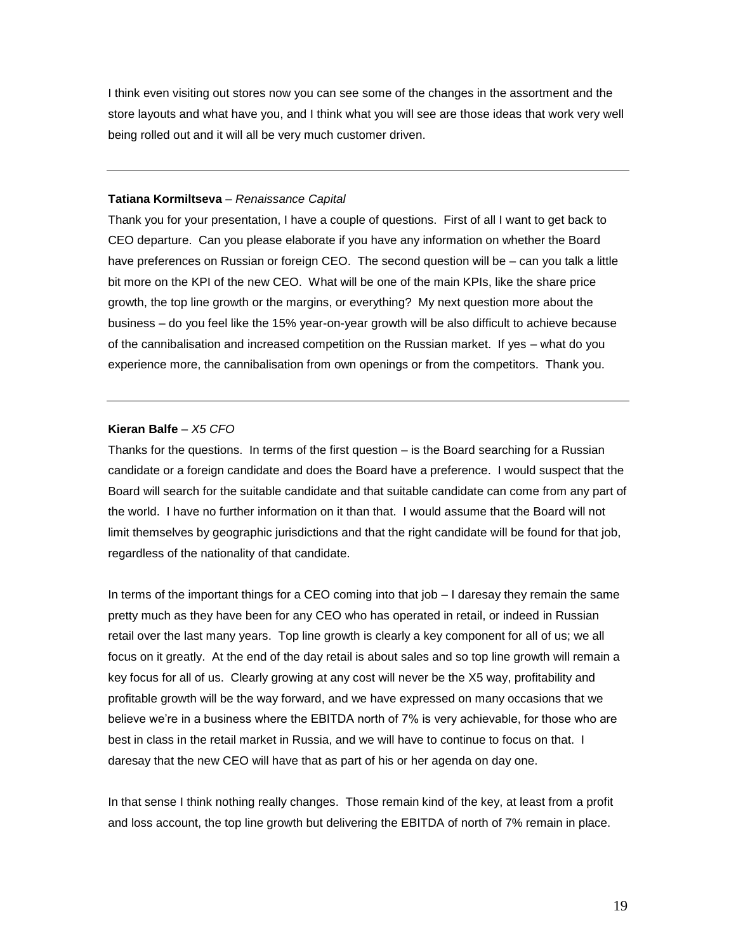I think even visiting out stores now you can see some of the changes in the assortment and the store layouts and what have you, and I think what you will see are those ideas that work very well being rolled out and it will all be very much customer driven.

#### **Tatiana Kormiltseva** – *Renaissance Capital*

Thank you for your presentation, I have a couple of questions. First of all I want to get back to CEO departure. Can you please elaborate if you have any information on whether the Board have preferences on Russian or foreign CEO. The second question will be – can you talk a little bit more on the KPI of the new CEO. What will be one of the main KPIs, like the share price growth, the top line growth or the margins, or everything? My next question more about the business – do you feel like the 15% year-on-year growth will be also difficult to achieve because of the cannibalisation and increased competition on the Russian market. If yes – what do you experience more, the cannibalisation from own openings or from the competitors. Thank you.

## **Kieran Balfe** *– X5 CFO*

Thanks for the questions. In terms of the first question – is the Board searching for a Russian candidate or a foreign candidate and does the Board have a preference. I would suspect that the Board will search for the suitable candidate and that suitable candidate can come from any part of the world. I have no further information on it than that. I would assume that the Board will not limit themselves by geographic jurisdictions and that the right candidate will be found for that job, regardless of the nationality of that candidate.

In terms of the important things for a CEO coming into that job – I daresay they remain the same pretty much as they have been for any CEO who has operated in retail, or indeed in Russian retail over the last many years. Top line growth is clearly a key component for all of us; we all focus on it greatly. At the end of the day retail is about sales and so top line growth will remain a key focus for all of us. Clearly growing at any cost will never be the X5 way, profitability and profitable growth will be the way forward, and we have expressed on many occasions that we believe we're in a business where the EBITDA north of 7% is very achievable, for those who are best in class in the retail market in Russia, and we will have to continue to focus on that. I daresay that the new CEO will have that as part of his or her agenda on day one.

In that sense I think nothing really changes. Those remain kind of the key, at least from a profit and loss account, the top line growth but delivering the EBITDA of north of 7% remain in place.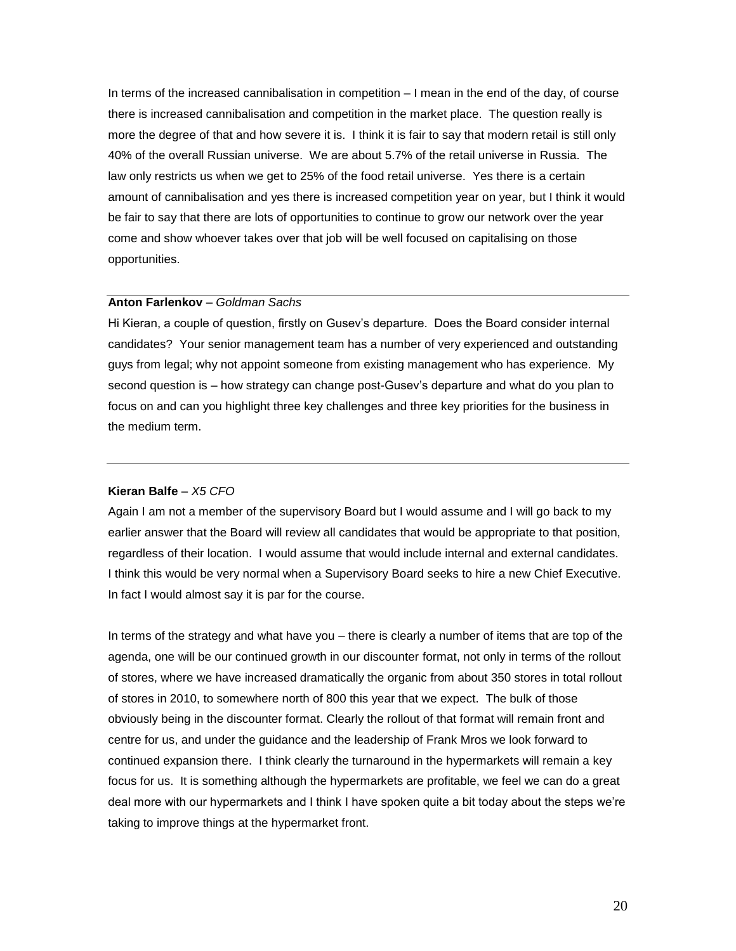In terms of the increased cannibalisation in competition – I mean in the end of the day, of course there is increased cannibalisation and competition in the market place. The question really is more the degree of that and how severe it is. I think it is fair to say that modern retail is still only 40% of the overall Russian universe. We are about 5.7% of the retail universe in Russia. The law only restricts us when we get to 25% of the food retail universe. Yes there is a certain amount of cannibalisation and yes there is increased competition year on year, but I think it would be fair to say that there are lots of opportunities to continue to grow our network over the year come and show whoever takes over that job will be well focused on capitalising on those opportunities.

#### **Anton Farlenkov** – *Goldman Sachs*

Hi Kieran, a couple of question, firstly on Gusev's departure. Does the Board consider internal candidates? Your senior management team has a number of very experienced and outstanding guys from legal; why not appoint someone from existing management who has experience. My second question is – how strategy can change post-Gusev's departure and what do you plan to focus on and can you highlight three key challenges and three key priorities for the business in the medium term.

#### **Kieran Balfe** *– X5 CFO*

Again I am not a member of the supervisory Board but I would assume and I will go back to my earlier answer that the Board will review all candidates that would be appropriate to that position, regardless of their location. I would assume that would include internal and external candidates. I think this would be very normal when a Supervisory Board seeks to hire a new Chief Executive. In fact I would almost say it is par for the course.

In terms of the strategy and what have you – there is clearly a number of items that are top of the agenda, one will be our continued growth in our discounter format, not only in terms of the rollout of stores, where we have increased dramatically the organic from about 350 stores in total rollout of stores in 2010, to somewhere north of 800 this year that we expect. The bulk of those obviously being in the discounter format. Clearly the rollout of that format will remain front and centre for us, and under the guidance and the leadership of Frank Mros we look forward to continued expansion there. I think clearly the turnaround in the hypermarkets will remain a key focus for us. It is something although the hypermarkets are profitable, we feel we can do a great deal more with our hypermarkets and I think I have spoken quite a bit today about the steps we're taking to improve things at the hypermarket front.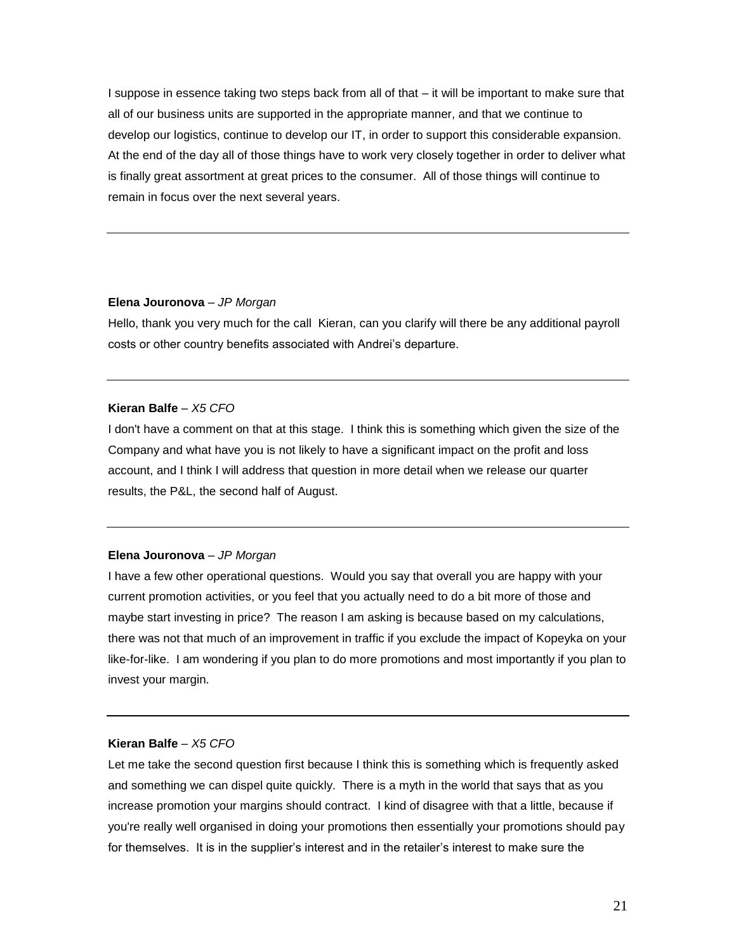I suppose in essence taking two steps back from all of that – it will be important to make sure that all of our business units are supported in the appropriate manner, and that we continue to develop our logistics, continue to develop our IT, in order to support this considerable expansion. At the end of the day all of those things have to work very closely together in order to deliver what is finally great assortment at great prices to the consumer. All of those things will continue to remain in focus over the next several years.

#### **Elena Jouronova** – *JP Morgan*

Hello, thank you very much for the call Kieran, can you clarify will there be any additional payroll costs or other country benefits associated with Andrei's departure.

#### **Kieran Balfe** *– X5 CFO*

I don't have a comment on that at this stage. I think this is something which given the size of the Company and what have you is not likely to have a significant impact on the profit and loss account, and I think I will address that question in more detail when we release our quarter results, the P&L, the second half of August.

#### **Elena Jouronova** – *JP Morgan*

I have a few other operational questions. Would you say that overall you are happy with your current promotion activities, or you feel that you actually need to do a bit more of those and maybe start investing in price? The reason I am asking is because based on my calculations, there was not that much of an improvement in traffic if you exclude the impact of Kopeyka on your like-for-like. I am wondering if you plan to do more promotions and most importantly if you plan to invest your margin.

#### **Kieran Balfe** *– X5 CFO*

Let me take the second question first because I think this is something which is frequently asked and something we can dispel quite quickly. There is a myth in the world that says that as you increase promotion your margins should contract. I kind of disagree with that a little, because if you're really well organised in doing your promotions then essentially your promotions should pay for themselves. It is in the supplier's interest and in the retailer's interest to make sure the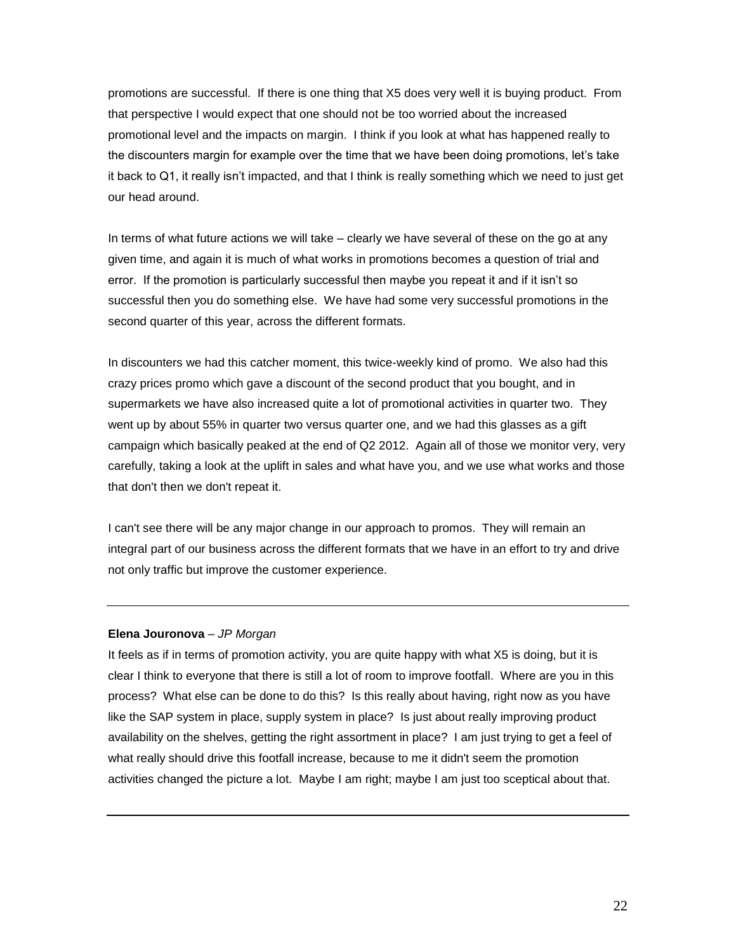promotions are successful. If there is one thing that X5 does very well it is buying product. From that perspective I would expect that one should not be too worried about the increased promotional level and the impacts on margin. I think if you look at what has happened really to the discounters margin for example over the time that we have been doing promotions, let's take it back to Q1, it really isn't impacted, and that I think is really something which we need to just get our head around.

In terms of what future actions we will take – clearly we have several of these on the go at any given time, and again it is much of what works in promotions becomes a question of trial and error. If the promotion is particularly successful then maybe you repeat it and if it isn't so successful then you do something else. We have had some very successful promotions in the second quarter of this year, across the different formats.

In discounters we had this catcher moment, this twice-weekly kind of promo. We also had this crazy prices promo which gave a discount of the second product that you bought, and in supermarkets we have also increased quite a lot of promotional activities in quarter two. They went up by about 55% in quarter two versus quarter one, and we had this glasses as a gift campaign which basically peaked at the end of Q2 2012. Again all of those we monitor very, very carefully, taking a look at the uplift in sales and what have you, and we use what works and those that don't then we don't repeat it.

I can't see there will be any major change in our approach to promos. They will remain an integral part of our business across the different formats that we have in an effort to try and drive not only traffic but improve the customer experience.

## **Elena Jouronova** – *JP Morgan*

It feels as if in terms of promotion activity, you are quite happy with what X5 is doing, but it is clear I think to everyone that there is still a lot of room to improve footfall. Where are you in this process? What else can be done to do this? Is this really about having, right now as you have like the SAP system in place, supply system in place? Is just about really improving product availability on the shelves, getting the right assortment in place? I am just trying to get a feel of what really should drive this footfall increase, because to me it didn't seem the promotion activities changed the picture a lot. Maybe I am right; maybe I am just too sceptical about that.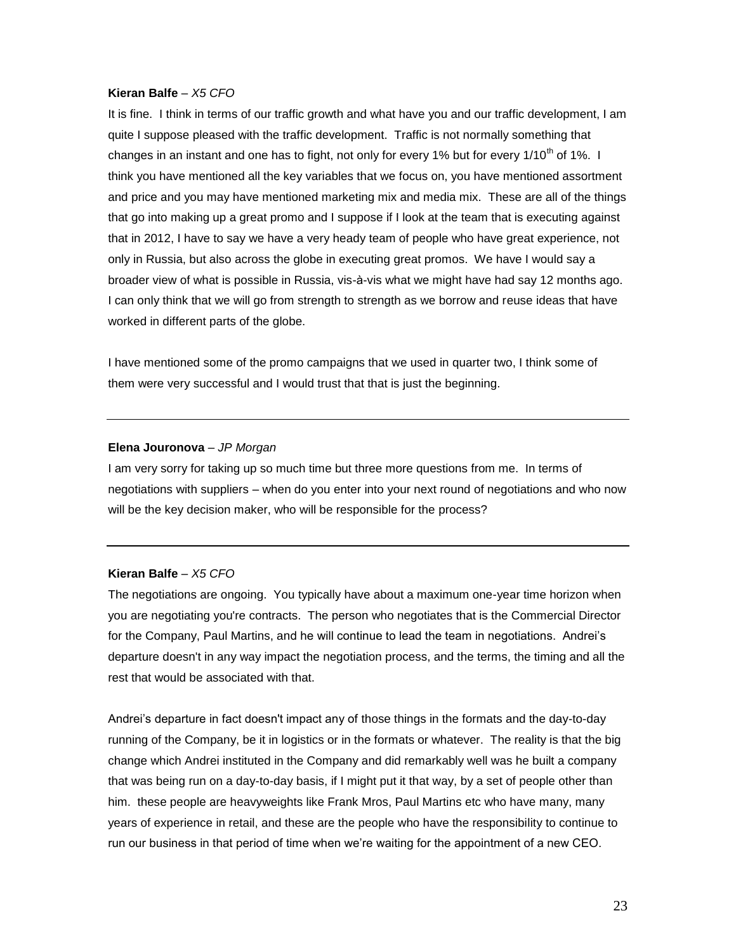It is fine. I think in terms of our traffic growth and what have you and our traffic development, I am quite I suppose pleased with the traffic development. Traffic is not normally something that changes in an instant and one has to fight, not only for every 1% but for every 1/10<sup>th</sup> of 1%. I think you have mentioned all the key variables that we focus on, you have mentioned assortment and price and you may have mentioned marketing mix and media mix. These are all of the things that go into making up a great promo and I suppose if I look at the team that is executing against that in 2012, I have to say we have a very heady team of people who have great experience, not only in Russia, but also across the globe in executing great promos. We have I would say a broader view of what is possible in Russia, vis-à-vis what we might have had say 12 months ago. I can only think that we will go from strength to strength as we borrow and reuse ideas that have worked in different parts of the globe.

I have mentioned some of the promo campaigns that we used in quarter two, I think some of them were very successful and I would trust that that is just the beginning.

#### **Elena Jouronova** – *JP Morgan*

I am very sorry for taking up so much time but three more questions from me. In terms of negotiations with suppliers – when do you enter into your next round of negotiations and who now will be the key decision maker, who will be responsible for the process?

### **Kieran Balfe** *– X5 CFO*

The negotiations are ongoing. You typically have about a maximum one-year time horizon when you are negotiating you're contracts. The person who negotiates that is the Commercial Director for the Company, Paul Martins, and he will continue to lead the team in negotiations. Andrei's departure doesn't in any way impact the negotiation process, and the terms, the timing and all the rest that would be associated with that.

Andrei's departure in fact doesn't impact any of those things in the formats and the day-to-day running of the Company, be it in logistics or in the formats or whatever. The reality is that the big change which Andrei instituted in the Company and did remarkably well was he built a company that was being run on a day-to-day basis, if I might put it that way, by a set of people other than him. these people are heavyweights like Frank Mros, Paul Martins etc who have many, many years of experience in retail, and these are the people who have the responsibility to continue to run our business in that period of time when we're waiting for the appointment of a new CEO.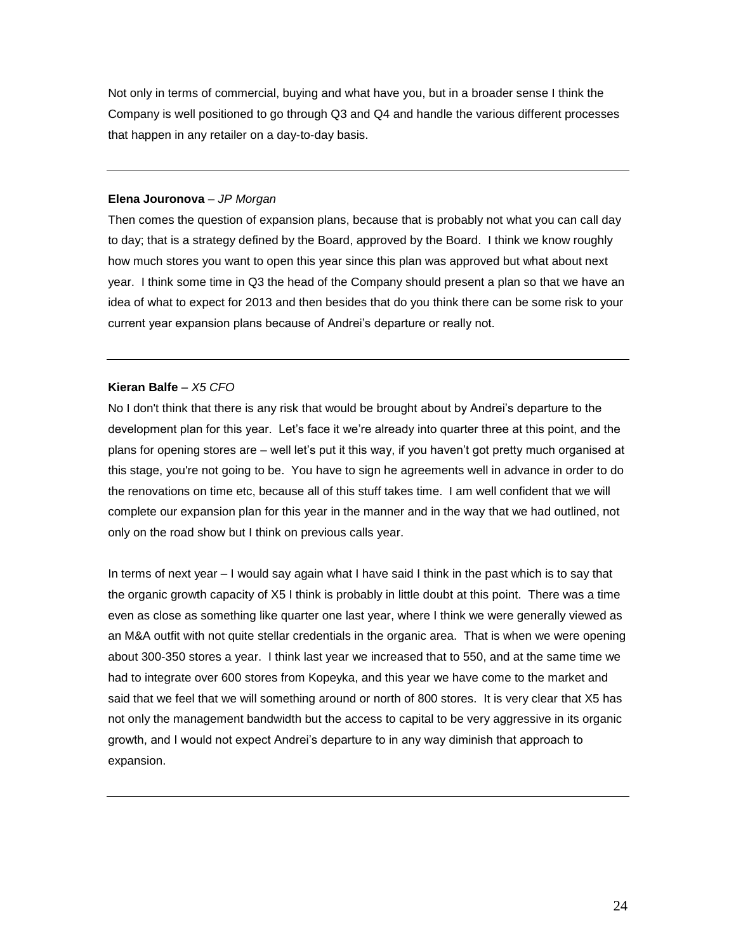Not only in terms of commercial, buying and what have you, but in a broader sense I think the Company is well positioned to go through Q3 and Q4 and handle the various different processes that happen in any retailer on a day-to-day basis.

## **Elena Jouronova** – *JP Morgan*

Then comes the question of expansion plans, because that is probably not what you can call day to day; that is a strategy defined by the Board, approved by the Board. I think we know roughly how much stores you want to open this year since this plan was approved but what about next year. I think some time in Q3 the head of the Company should present a plan so that we have an idea of what to expect for 2013 and then besides that do you think there can be some risk to your current year expansion plans because of Andrei's departure or really not.

## **Kieran Balfe** *– X5 CFO*

No I don't think that there is any risk that would be brought about by Andrei's departure to the development plan for this year. Let's face it we're already into quarter three at this point, and the plans for opening stores are – well let's put it this way, if you haven't got pretty much organised at this stage, you're not going to be. You have to sign he agreements well in advance in order to do the renovations on time etc, because all of this stuff takes time. I am well confident that we will complete our expansion plan for this year in the manner and in the way that we had outlined, not only on the road show but I think on previous calls year.

In terms of next year – I would say again what I have said I think in the past which is to say that the organic growth capacity of X5 I think is probably in little doubt at this point. There was a time even as close as something like quarter one last year, where I think we were generally viewed as an M&A outfit with not quite stellar credentials in the organic area. That is when we were opening about 300-350 stores a year. I think last year we increased that to 550, and at the same time we had to integrate over 600 stores from Kopeyka, and this year we have come to the market and said that we feel that we will something around or north of 800 stores. It is very clear that X5 has not only the management bandwidth but the access to capital to be very aggressive in its organic growth, and I would not expect Andrei's departure to in any way diminish that approach to expansion.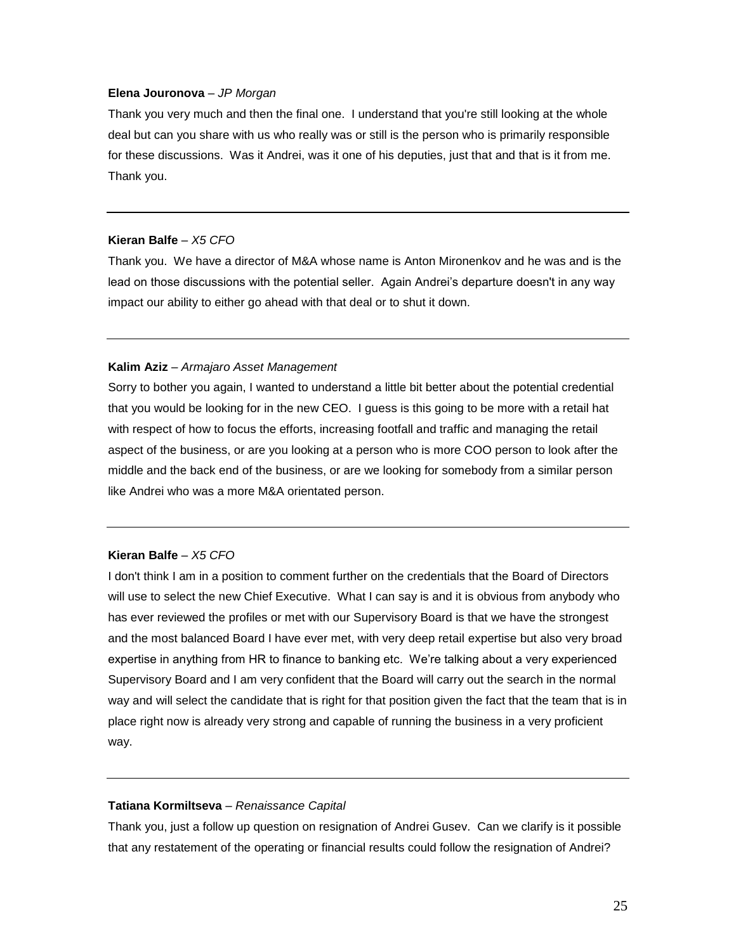#### **Elena Jouronova** – *JP Morgan*

Thank you very much and then the final one. I understand that you're still looking at the whole deal but can you share with us who really was or still is the person who is primarily responsible for these discussions. Was it Andrei, was it one of his deputies, just that and that is it from me. Thank you.

## **Kieran Balfe** *– X5 CFO*

Thank you. We have a director of M&A whose name is Anton Mironenkov and he was and is the lead on those discussions with the potential seller. Again Andrei's departure doesn't in any way impact our ability to either go ahead with that deal or to shut it down.

#### **Kalim Aziz** – *Armajaro Asset Management*

Sorry to bother you again, I wanted to understand a little bit better about the potential credential that you would be looking for in the new CEO. I guess is this going to be more with a retail hat with respect of how to focus the efforts, increasing footfall and traffic and managing the retail aspect of the business, or are you looking at a person who is more COO person to look after the middle and the back end of the business, or are we looking for somebody from a similar person like Andrei who was a more M&A orientated person.

## **Kieran Balfe** *– X5 CFO*

I don't think I am in a position to comment further on the credentials that the Board of Directors will use to select the new Chief Executive. What I can say is and it is obvious from anybody who has ever reviewed the profiles or met with our Supervisory Board is that we have the strongest and the most balanced Board I have ever met, with very deep retail expertise but also very broad expertise in anything from HR to finance to banking etc. We're talking about a very experienced Supervisory Board and I am very confident that the Board will carry out the search in the normal way and will select the candidate that is right for that position given the fact that the team that is in place right now is already very strong and capable of running the business in a very proficient way.

#### **Tatiana Kormiltseva** – *Renaissance Capital*

Thank you, just a follow up question on resignation of Andrei Gusev. Can we clarify is it possible that any restatement of the operating or financial results could follow the resignation of Andrei?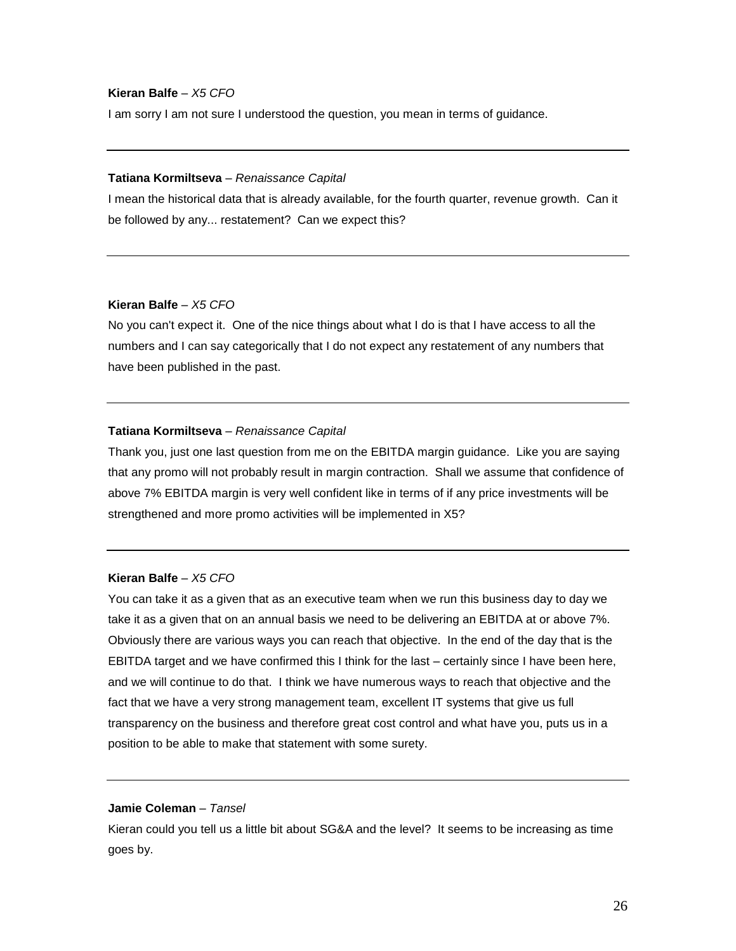I am sorry I am not sure I understood the question, you mean in terms of guidance.

#### **Tatiana Kormiltseva** – *Renaissance Capital*

I mean the historical data that is already available, for the fourth quarter, revenue growth. Can it be followed by any... restatement? Can we expect this?

#### **Kieran Balfe** *– X5 CFO*

No you can't expect it. One of the nice things about what I do is that I have access to all the numbers and I can say categorically that I do not expect any restatement of any numbers that have been published in the past.

#### **Tatiana Kormiltseva** – *Renaissance Capital*

Thank you, just one last question from me on the EBITDA margin guidance. Like you are saying that any promo will not probably result in margin contraction. Shall we assume that confidence of above 7% EBITDA margin is very well confident like in terms of if any price investments will be strengthened and more promo activities will be implemented in X5?

## **Kieran Balfe** *– X5 CFO*

You can take it as a given that as an executive team when we run this business day to day we take it as a given that on an annual basis we need to be delivering an EBITDA at or above 7%. Obviously there are various ways you can reach that objective. In the end of the day that is the EBITDA target and we have confirmed this I think for the last – certainly since I have been here, and we will continue to do that. I think we have numerous ways to reach that objective and the fact that we have a very strong management team, excellent IT systems that give us full transparency on the business and therefore great cost control and what have you, puts us in a position to be able to make that statement with some surety.

## **Jamie Coleman** – *Tansel*

Kieran could you tell us a little bit about SG&A and the level? It seems to be increasing as time goes by.